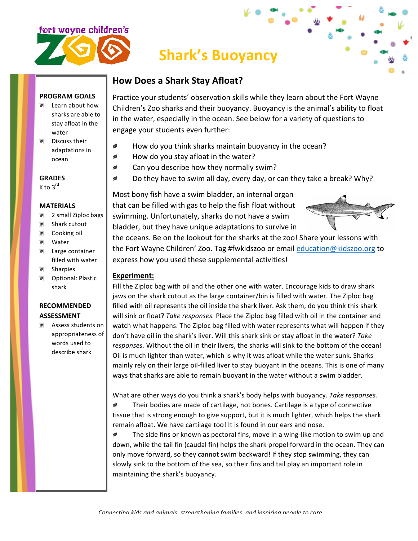

## **Shark's Buoyancy**

### **How Does a Shark Stay Afloat?**

#### **PROGRAM GOALS**

- Learn about how sharks are able to stay afloat in the water
- $\blacksquare$  Discuss their adaptations in ocean

**GRADES**  $K$  to  $3^{\text{rd}}$ 

#### **MATERIALS**

- 2 small Ziploc bags  $\overline{\phantom{a}}$
- $\mathcal{I}$ Shark cutout
- $\overline{\phantom{a}}$ Cooking oil
- $\overline{\phantom{a}}$ Water
- Large container  $\overline{\phantom{a}}$ filled with water
- Sharpies  $\overline{\phantom{a}}$
- *S* Optional: Plastic shark

#### **RECOMMENDED ASSESSMENT**

**Assess students on** appropriateness of words used to describe shark

Practice your students' observation skills while they learn about the Fort Wayne Children's Zoo sharks and their buoyancy. Buoyancy is the animal's ability to float in the water, especially in the ocean. See below for a variety of questions to engage your students even further:

- How do you think sharks maintain buoyancy in the ocean? ◢
- $\overline{\phantom{a}}$ How do you stay afloat in the water?
- Can you describe how they normally swim? ◢
- Do they have to swim all day, every day, or can they take a break? Why?  $\mathcal{D}$

Most bony fish have a swim bladder, an internal organ that can be filled with gas to help the fish float without swimming. Unfortunately, sharks do not have a swim bladder, but they have unique adaptations to survive in



the oceans. Be on the lookout for the sharks at the zoo! Share your lessons with the Fort Wayne Children' Zoo. Tag #fwkidszoo or email education@kidszoo.org to express how you used these supplemental activities!

#### **Experiment:**

Fill the Ziploc bag with oil and the other one with water. Encourage kids to draw shark jaws on the shark cutout as the large container/bin is filled with water. The Ziploc bag filled with oil represents the oil inside the shark liver. Ask them, do you think this shark will sink or float? *Take responses*. Place the Ziploc bag filled with oil in the container and watch what happens. The Ziploc bag filled with water represents what will happen if they don't have oil in the shark's liver. Will this shark sink or stay afloat in the water? *Take* responses. Without the oil in their livers, the sharks will sink to the bottom of the ocean! Oil is much lighter than water, which is why it was afloat while the water sunk. Sharks mainly rely on their large oil-filled liver to stay buoyant in the oceans. This is one of many ways that sharks are able to remain buoyant in the water without a swim bladder.

What are other ways do you think a shark's body helps with buoyancy. Take responses. ₫ Their bodies are made of cartilage, not bones. Cartilage is a type of connective tissue that is strong enough to give support, but it is much lighter, which helps the shark remain afloat. We have cartilage too! It is found in our ears and nose.

 $\overline{\phantom{a}}$ The side fins or known as pectoral fins, move in a wing-like motion to swim up and down, while the tail fin (caudal fin) helps the shark propel forward in the ocean. They can only move forward, so they cannot swim backward! If they stop swimming, they can slowly sink to the bottom of the sea, so their fins and tail play an important role in maintaining the shark's buoyancy.